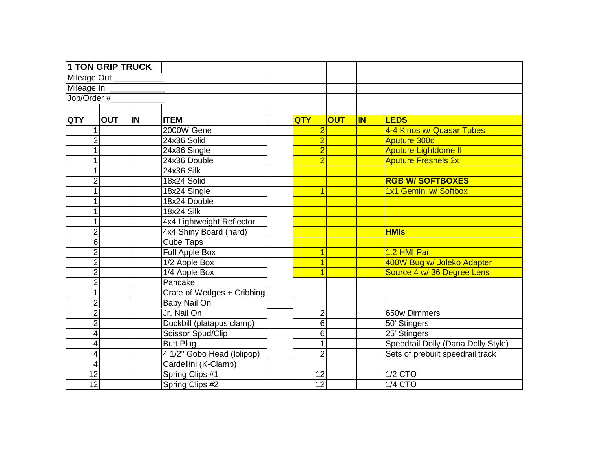| <b>1 TON GRIP TRUCK</b> |            |           |                            |                 |            |           |                                    |
|-------------------------|------------|-----------|----------------------------|-----------------|------------|-----------|------------------------------------|
| Mileage Out _______     |            |           |                            |                 |            |           |                                    |
| Mileage In              |            |           |                            |                 |            |           |                                    |
| Job/Order #             |            |           |                            |                 |            |           |                                    |
|                         |            |           |                            |                 |            |           |                                    |
| <b>QTY</b>              | <b>OUT</b> | <b>IN</b> | <b>ITEM</b>                | <b>QTY</b>      | <b>OUT</b> | <b>IN</b> | <b>LEDS</b>                        |
|                         |            |           | 2000W Gene                 | $\overline{2}$  |            |           | 4-4 Kinos w/ Quasar Tubes          |
| $\overline{2}$          |            |           | 24x36 Solid                | $\overline{2}$  |            |           | <b>Aputure 300d</b>                |
| 1                       |            |           | 24x36 Single               | $\overline{2}$  |            |           | <b>Aputure Lightdome II</b>        |
| 1                       |            |           | 24x36 Double               | $\overline{2}$  |            |           | <b>Aputure Fresnels 2x</b>         |
| 1                       |            |           | <b>24x36 Silk</b>          |                 |            |           |                                    |
| $\overline{2}$          |            |           | 18x24 Solid                |                 |            |           | <b>RGB W/ SOFTBOXES</b>            |
| 1                       |            |           | 18x24 Single               |                 |            |           | 1x1 Gemini w/ Softbox              |
| 1                       |            |           | 18x24 Double               |                 |            |           |                                    |
| 1                       |            |           | <b>18x24 Silk</b>          |                 |            |           |                                    |
| 1                       |            |           | 4x4 Lightweight Reflector  |                 |            |           |                                    |
| $\overline{2}$          |            |           | 4x4 Shiny Board (hard)     |                 |            |           | <b>HMIs</b>                        |
| 6                       |            |           | <b>Cube Taps</b>           |                 |            |           |                                    |
| $\overline{2}$          |            |           | <b>Full Apple Box</b>      |                 |            |           | 1.2 HMI Par                        |
| $\overline{2}$          |            |           | 1/2 Apple Box              |                 |            |           | 400W Bug w/ Joleko Adapter         |
| $\overline{2}$          |            |           | 1/4 Apple Box              |                 |            |           | Source 4 w/ 36 Degree Lens         |
| $\overline{c}$          |            |           | Pancake                    |                 |            |           |                                    |
| $\overline{1}$          |            |           | Crate of Wedges + Cribbing |                 |            |           |                                    |
| $\overline{2}$          |            |           | Baby Nail On               |                 |            |           |                                    |
| $\overline{2}$          |            |           | Jr, Nail On                | $\overline{c}$  |            |           | 650w Dimmers                       |
| $\overline{c}$          |            |           | Duckbill (platapus clamp)  | 6               |            |           | 50' Stingers                       |
| 4                       |            |           | Scissor Spud/Clip          | $\overline{6}$  |            |           | 25' Stingers                       |
| 4                       |            |           | <b>Butt Plug</b>           | 1               |            |           | Speedrail Dolly (Dana Dolly Style) |
| 4                       |            |           | 4 1/2" Gobo Head (lolipop) | $\overline{2}$  |            |           | Sets of prebuilt speedrail track   |
| 4                       |            |           | Cardellini (K-Clamp)       |                 |            |           |                                    |
| $\overline{12}$         |            |           | Spring Clips #1            | 12              |            |           | $1/2$ CTO                          |
| 12                      |            |           | Spring Clips #2            | $\overline{12}$ |            |           | <b>1/4 CTO</b>                     |